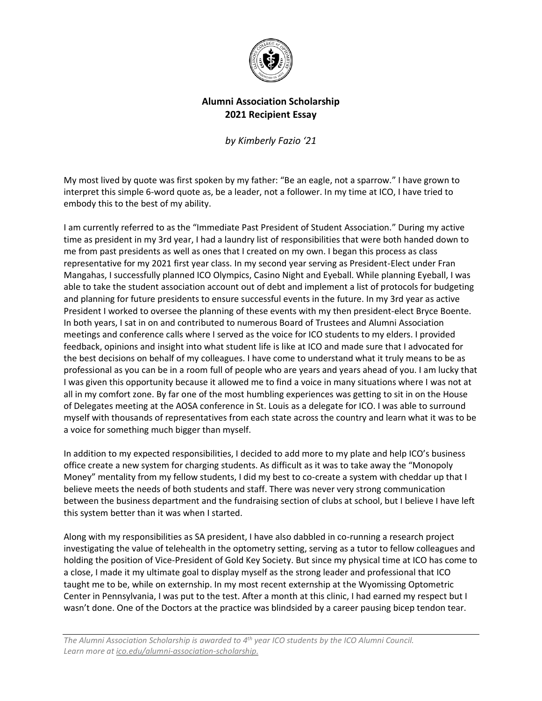

## **Alumni Association Scholarship 2021 Recipient Essay**

*by Kimberly Fazio '21*

My most lived by quote was first spoken by my father: "Be an eagle, not a sparrow." I have grown to interpret this simple 6-word quote as, be a leader, not a follower. In my time at ICO, I have tried to embody this to the best of my ability.

I am currently referred to as the "Immediate Past President of Student Association." During my active time as president in my 3rd year, I had a laundry list of responsibilities that were both handed down to me from past presidents as well as ones that I created on my own. I began this process as class representative for my 2021 first year class. In my second year serving as President-Elect under Fran Mangahas, I successfully planned ICO Olympics, Casino Night and Eyeball. While planning Eyeball, I was able to take the student association account out of debt and implement a list of protocols for budgeting and planning for future presidents to ensure successful events in the future. In my 3rd year as active President I worked to oversee the planning of these events with my then president-elect Bryce Boente. In both years, I sat in on and contributed to numerous Board of Trustees and Alumni Association meetings and conference calls where I served as the voice for ICO students to my elders. I provided feedback, opinions and insight into what student life is like at ICO and made sure that I advocated for the best decisions on behalf of my colleagues. I have come to understand what it truly means to be as professional as you can be in a room full of people who are years and years ahead of you. I am lucky that I was given this opportunity because it allowed me to find a voice in many situations where I was not at all in my comfort zone. By far one of the most humbling experiences was getting to sit in on the House of Delegates meeting at the AOSA conference in St. Louis as a delegate for ICO. I was able to surround myself with thousands of representatives from each state across the country and learn what it was to be a voice for something much bigger than myself.

In addition to my expected responsibilities, I decided to add more to my plate and help ICO's business office create a new system for charging students. As difficult as it was to take away the "Monopoly Money" mentality from my fellow students, I did my best to co-create a system with cheddar up that I believe meets the needs of both students and staff. There was never very strong communication between the business department and the fundraising section of clubs at school, but I believe I have left this system better than it was when I started.

Along with my responsibilities as SA president, I have also dabbled in co-running a research project investigating the value of telehealth in the optometry setting, serving as a tutor to fellow colleagues and holding the position of Vice-President of Gold Key Society. But since my physical time at ICO has come to a close, I made it my ultimate goal to display myself as the strong leader and professional that ICO taught me to be, while on externship. In my most recent externship at the Wyomissing Optometric Center in Pennsylvania, I was put to the test. After a month at this clinic, I had earned my respect but I wasn't done. One of the Doctors at the practice was blindsided by a career pausing bicep tendon tear.

*The Alumni Association Scholarship is awarded to 4th year ICO students by the ICO Alumni Council. Learn more a[t ico.edu/alumni-association-scholarship.](https://www.ico.edu/alumni-association-scholarship)*